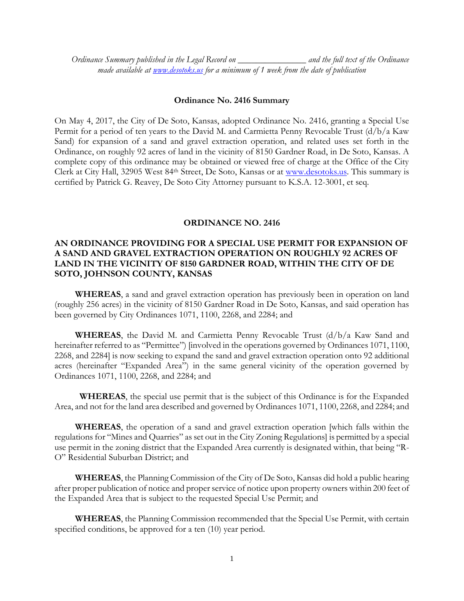*Ordinance Summary published in the Legal Record on \_\_\_\_\_\_\_\_\_\_\_\_\_\_\_ and the full text of the Ordinance made available at [www.desotoks.us](http://www.desotoks.us/) for a minimum of 1 week from the date of publication*

## **Ordinance No. 2416 Summary**

On May 4, 2017, the City of De Soto, Kansas, adopted Ordinance No. 2416, granting a Special Use Permit for a period of ten years to the David M. and Carmietta Penny Revocable Trust (d/b/a Kaw Sand) for expansion of a sand and gravel extraction operation, and related uses set forth in the Ordinance, on roughly 92 acres of land in the vicinity of 8150 Gardner Road, in De Soto, Kansas. A complete copy of this ordinance may be obtained or viewed free of charge at the Office of the City Clerk at City Hall, 32905 West 84th Street, De Soto, Kansas or at [www.desotoks.us.](http://www.desotoks.us/) This summary is certified by Patrick G. Reavey, De Soto City Attorney pursuant to K.S.A. 12-3001, et seq.

## **ORDINANCE NO. 2416**

## **AN ORDINANCE PROVIDING FOR A SPECIAL USE PERMIT FOR EXPANSION OF A SAND AND GRAVEL EXTRACTION OPERATION ON ROUGHLY 92 ACRES OF LAND IN THE VICINITY OF 8150 GARDNER ROAD, WITHIN THE CITY OF DE SOTO, JOHNSON COUNTY, KANSAS**

**WHEREAS**, a sand and gravel extraction operation has previously been in operation on land (roughly 256 acres) in the vicinity of 8150 Gardner Road in De Soto, Kansas, and said operation has been governed by City Ordinances 1071, 1100, 2268, and 2284; and

**WHEREAS**, the David M. and Carmietta Penny Revocable Trust (d/b/a Kaw Sand and hereinafter referred to as "Permittee") [involved in the operations governed by Ordinances 1071, 1100, 2268, and 2284] is now seeking to expand the sand and gravel extraction operation onto 92 additional acres (hereinafter "Expanded Area") in the same general vicinity of the operation governed by Ordinances 1071, 1100, 2268, and 2284; and

 **WHEREAS**, the special use permit that is the subject of this Ordinance is for the Expanded Area, and not for the land area described and governed by Ordinances 1071, 1100, 2268, and 2284; and

**WHEREAS**, the operation of a sand and gravel extraction operation [which falls within the regulations for "Mines and Quarries" as set out in the City Zoning Regulations] is permitted by a special use permit in the zoning district that the Expanded Area currently is designated within, that being "R-O" Residential Suburban District; and

**WHEREAS**, the Planning Commission of the City of De Soto, Kansas did hold a public hearing after proper publication of notice and proper service of notice upon property owners within 200 feet of the Expanded Area that is subject to the requested Special Use Permit; and

**WHEREAS**, the Planning Commission recommended that the Special Use Permit, with certain specified conditions, be approved for a ten  $(10)$  year period.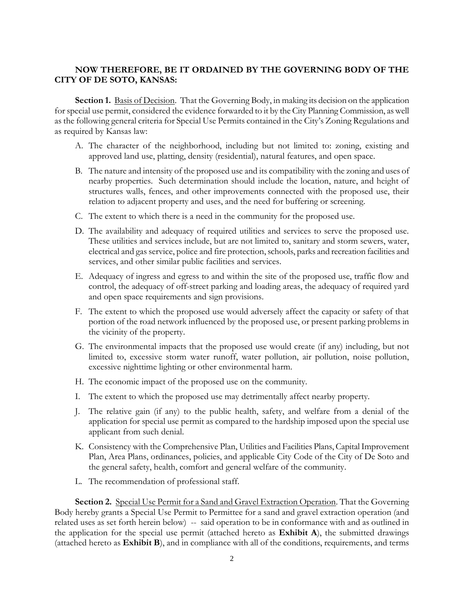## **NOW THEREFORE, BE IT ORDAINED BY THE GOVERNING BODY OF THE CITY OF DE SOTO, KANSAS:**

**Section 1.** Basis of Decision. That the Governing Body, in making its decision on the application for special use permit, considered the evidence forwarded to it by the City Planning Commission, as well as the following general criteria for Special Use Permits contained in the City's Zoning Regulations and as required by Kansas law:

- A. The character of the neighborhood, including but not limited to: zoning, existing and approved land use, platting, density (residential), natural features, and open space.
- B. The nature and intensity of the proposed use and its compatibility with the zoning and uses of nearby properties. Such determination should include the location, nature, and height of structures walls, fences, and other improvements connected with the proposed use, their relation to adjacent property and uses, and the need for buffering or screening.
- C. The extent to which there is a need in the community for the proposed use.
- D. The availability and adequacy of required utilities and services to serve the proposed use. These utilities and services include, but are not limited to, sanitary and storm sewers, water, electrical and gas service, police and fire protection, schools, parks and recreation facilities and services, and other similar public facilities and services.
- E. Adequacy of ingress and egress to and within the site of the proposed use, traffic flow and control, the adequacy of off-street parking and loading areas, the adequacy of required yard and open space requirements and sign provisions.
- F. The extent to which the proposed use would adversely affect the capacity or safety of that portion of the road network influenced by the proposed use, or present parking problems in the vicinity of the property.
- G. The environmental impacts that the proposed use would create (if any) including, but not limited to, excessive storm water runoff, water pollution, air pollution, noise pollution, excessive nighttime lighting or other environmental harm.
- H. The economic impact of the proposed use on the community.
- I. The extent to which the proposed use may detrimentally affect nearby property.
- J. The relative gain (if any) to the public health, safety, and welfare from a denial of the application for special use permit as compared to the hardship imposed upon the special use applicant from such denial.
- K. Consistency with the Comprehensive Plan, Utilities and Facilities Plans, Capital Improvement Plan, Area Plans, ordinances, policies, and applicable City Code of the City of De Soto and the general safety, health, comfort and general welfare of the community.
- L. The recommendation of professional staff.

**Section 2.** Special Use Permit for a Sand and Gravel Extraction Operation. That the Governing Body hereby grants a Special Use Permit to Permittee for a sand and gravel extraction operation (and related uses as set forth herein below) -- said operation to be in conformance with and as outlined in the application for the special use permit (attached hereto as **Exhibit A**), the submitted drawings (attached hereto as **Exhibit B**), and in compliance with all of the conditions, requirements, and terms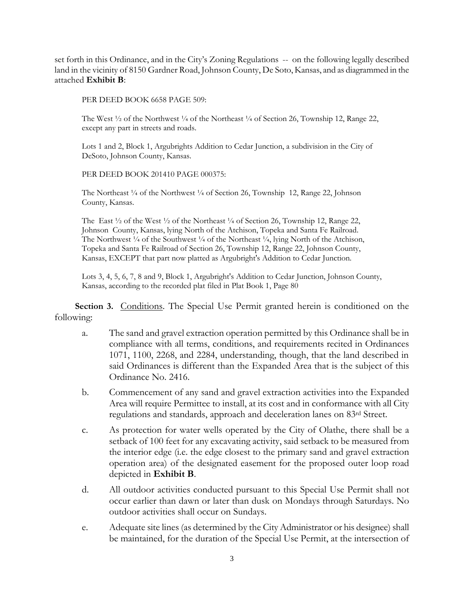set forth in this Ordinance, and in the City's Zoning Regulations -- on the following legally described land in the vicinity of 8150 Gardner Road, Johnson County, De Soto, Kansas, and as diagrammed in the attached **Exhibit B**:

PER DEED BOOK 6658 PAGE 509:

The West  $\frac{1}{2}$  of the Northwest  $\frac{1}{4}$  of the Northeast  $\frac{1}{4}$  of Section 26, Township 12, Range 22, except any part in streets and roads.

Lots 1 and 2, Block 1, Argubrights Addition to Cedar Junction, a subdivision in the City of DeSoto, Johnson County, Kansas.

PER DEED BOOK 201410 PAGE 000375:

The Northeast <sup>1</sup>/<sub>4</sub> of the Northwest <sup>1</sup>/<sub>4</sub> of Section 26, Township 12, Range 22, Johnson County, Kansas.

The East  $\frac{1}{2}$  of the West  $\frac{1}{2}$  of the Northeast  $\frac{1}{4}$  of Section 26, Township 12, Range 22, Johnson County, Kansas, lying North of the Atchison, Topeka and Santa Fe Railroad. The Northwest <sup>1</sup>/4 of the Southwest <sup>1</sup>/4 of the Northeast <sup>1</sup>/4, lying North of the Atchison, Topeka and Santa Fe Railroad of Section 26, Township 12, Range 22, Johnson County, Kansas, EXCEPT that part now platted as Argubright's Addition to Cedar Junction.

Lots 3, 4, 5, 6, 7, 8 and 9, Block 1, Argubright's Addition to Cedar Junction, Johnson County, Kansas, according to the recorded plat filed in Plat Book 1, Page 80

**Section 3.** Conditions. The Special Use Permit granted herein is conditioned on the following:

- a. The sand and gravel extraction operation permitted by this Ordinance shall be in compliance with all terms, conditions, and requirements recited in Ordinances 1071, 1100, 2268, and 2284, understanding, though, that the land described in said Ordinances is different than the Expanded Area that is the subject of this Ordinance No. 2416.
- b. Commencement of any sand and gravel extraction activities into the Expanded Area will require Permittee to install, at its cost and in conformance with all City regulations and standards, approach and deceleration lanes on 83rd Street.
- c. As protection for water wells operated by the City of Olathe, there shall be a setback of 100 feet for any excavating activity, said setback to be measured from the interior edge (i.e. the edge closest to the primary sand and gravel extraction operation area) of the designated easement for the proposed outer loop road depicted in **Exhibit B**.
- d. All outdoor activities conducted pursuant to this Special Use Permit shall not occur earlier than dawn or later than dusk on Mondays through Saturdays. No outdoor activities shall occur on Sundays.
- e. Adequate site lines (as determined by the City Administrator or his designee) shall be maintained, for the duration of the Special Use Permit, at the intersection of